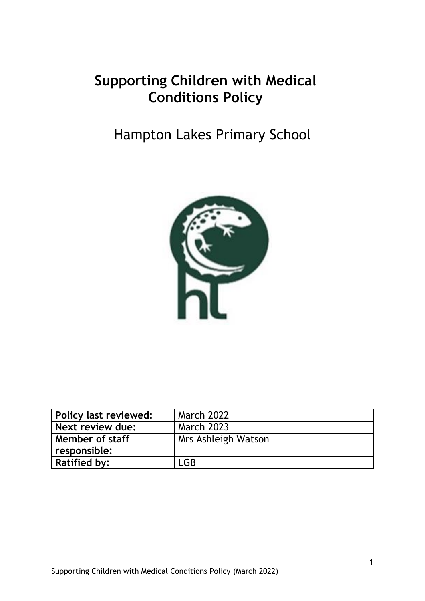# **Supporting Children with Medical Conditions Policy**

# Hampton Lakes Primary School



| Policy last reviewed: | <b>March 2022</b>   |
|-----------------------|---------------------|
| Next review due:      | <b>March 2023</b>   |
| Member of staff       | Mrs Ashleigh Watson |
| responsible:          |                     |
| <b>Ratified by:</b>   | LGB                 |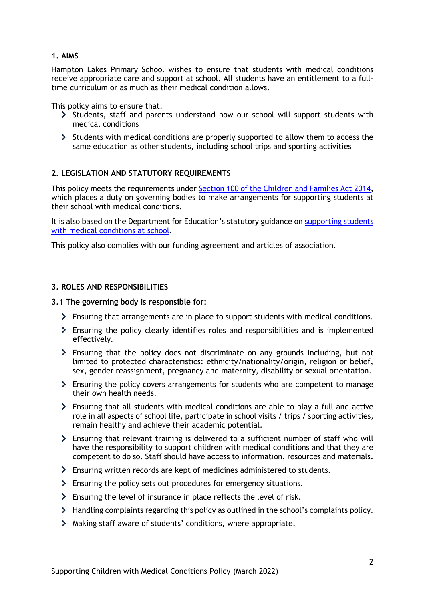#### **1. AIMS**

Hampton Lakes Primary School wishes to ensure that students with medical conditions receive appropriate care and support at school. All students have an entitlement to a fulltime curriculum or as much as their medical condition allows.

This policy aims to ensure that:

- Students, staff and parents understand how our school will support students with medical conditions
- Students with medical conditions are properly supported to allow them to access the same education as other students, including school trips and sporting activities

#### **2. LEGISLATION AND STATUTORY REQUIREMENTS**

This policy meets the requirements under [Section 100 of the Children and Families Act 2014,](http://www.legislation.gov.uk/ukpga/2014/6/part/5/crossheading/pupils-with-medical-conditions) which places a duty on governing bodies to make arrangements for supporting students at their school with medical conditions.

It is also based on the Department for Education's statutory guidance on supporting students [with medical conditions at school.](https://www.gov.uk/government/publications/supporting-pupils-at-school-with-medical-conditions--3)

This policy also complies with our funding agreement and articles of association.

#### **3. ROLES AND RESPONSIBILITIES**

#### **3.1 The governing body is responsible for:**

- Ensuring that arrangements are in place to support students with medical conditions.
- Ensuring the policy clearly identifies roles and responsibilities and is implemented effectively.
- Ensuring that the policy does not discriminate on any grounds including, but not limited to protected characteristics: ethnicity/nationality/origin, religion or belief, sex, gender reassignment, pregnancy and maternity, disability or sexual orientation.
- Ensuring the policy covers arrangements for students who are competent to manage their own health needs.
- $\geq$  Ensuring that all students with medical conditions are able to play a full and active role in all aspects of school life, participate in school visits / trips / sporting activities, remain healthy and achieve their academic potential.
- Ensuring that relevant training is delivered to a sufficient number of staff who will have the responsibility to support children with medical conditions and that they are competent to do so. Staff should have access to information, resources and materials.
- Ensuring written records are kept of medicines administered to students.
- Ensuring the policy sets out procedures for emergency situations.
- Ensuring the level of insurance in place reflects the level of risk.
- > Handling complaints regarding this policy as outlined in the school's complaints policy.
- Making staff aware of students' conditions, where appropriate.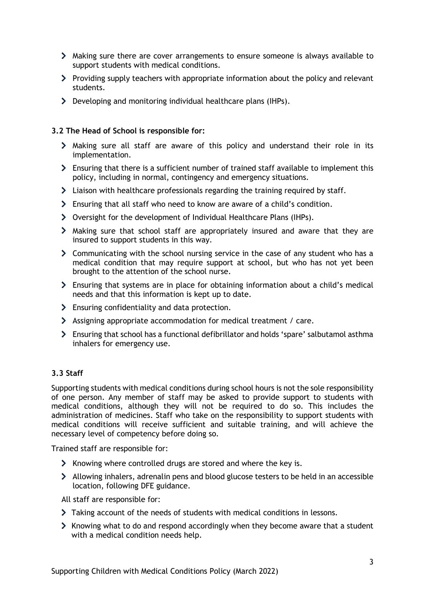- Making sure there are cover arrangements to ensure someone is always available to support students with medical conditions.
- $\triangleright$  Providing supply teachers with appropriate information about the policy and relevant students.
- Developing and monitoring individual healthcare plans (IHPs).

### **3.2 The Head of School is responsible for:**

- Making sure all staff are aware of this policy and understand their role in its implementation.
- Ensuring that there is a sufficient number of trained staff available to implement this policy, including in normal, contingency and emergency situations.
- $\blacktriangleright$  Liaison with healthcare professionals regarding the training required by staff.
- Ensuring that all staff who need to know are aware of a child's condition.
- Oversight for the development of Individual Healthcare Plans (IHPs).
- Making sure that school staff are appropriately insured and aware that they are insured to support students in this way.
- Communicating with the school nursing service in the case of any student who has a medical condition that may require support at school, but who has not yet been brought to the attention of the school nurse.
- Ensuring that systems are in place for obtaining information about a child's medical needs and that this information is kept up to date.
- Ensuring confidentiality and data protection.
- Assigning appropriate accommodation for medical treatment / care.
- Ensuring that school has a functional defibrillator and holds 'spare' salbutamol asthma inhalers for emergency use.

#### **3.3 Staff**

Supporting students with medical conditions during school hours is not the sole responsibility of one person. Any member of staff may be asked to provide support to students with medical conditions, although they will not be required to do so. This includes the administration of medicines. Staff who take on the responsibility to support students with medical conditions will receive sufficient and suitable training, and will achieve the necessary level of competency before doing so.

Trained staff are responsible for:

- S Knowing where controlled drugs are stored and where the key is.
- $\blacktriangleright$  Allowing inhalers, adrenalin pens and blood glucose testers to be held in an accessible location, following DFE guidance.

All staff are responsible for:

- Taking account of the needs of students with medical conditions in lessons.
- SX Knowing what to do and respond accordingly when they become aware that a student with a medical condition needs help.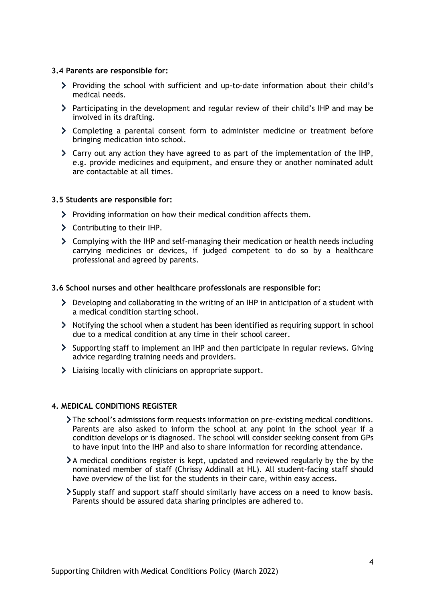#### **3.4 Parents are responsible for:**

- Providing the school with sufficient and up-to-date information about their child's medical needs.
- $\triangleright$  Participating in the development and regular review of their child's IHP and may be involved in its drafting.
- Completing a parental consent form to administer medicine or treatment before bringing medication into school.
- Carry out any action they have agreed to as part of the implementation of the IHP, e.g. provide medicines and equipment, and ensure they or another nominated adult are contactable at all times.

#### **3.5 Students are responsible for:**

- > Providing information on how their medical condition affects them.
- Contributing to their IHP.
- Complying with the IHP and self-managing their medication or health needs including carrying medicines or devices, if judged competent to do so by a healthcare professional and agreed by parents.

#### **3.6 School nurses and other healthcare professionals are responsible for:**

- $\triangleright$  Developing and collaborating in the writing of an IHP in anticipation of a student with a medical condition starting school.
- Notifying the school when a student has been identified as requiring support in school due to a medical condition at any time in their school career.
- Supporting staff to implement an IHP and then participate in regular reviews. Giving advice regarding training needs and providers.
- Liaising locally with clinicians on appropriate support.

#### **4. MEDICAL CONDITIONS REGISTER**

- The school's admissions form requests information on pre-existing medical conditions. Parents are also asked to inform the school at any point in the school year if a condition develops or is diagnosed. The school will consider seeking consent from GPs to have input into the IHP and also to share information for recording attendance.
- $\lambda$  medical conditions register is kept, updated and reviewed regularly by the by the nominated member of staff (Chrissy Addinall at HL). All student-facing staff should have overview of the list for the students in their care, within easy access.
- Supply staff and support staff should similarly have access on a need to know basis. Parents should be assured data sharing principles are adhered to.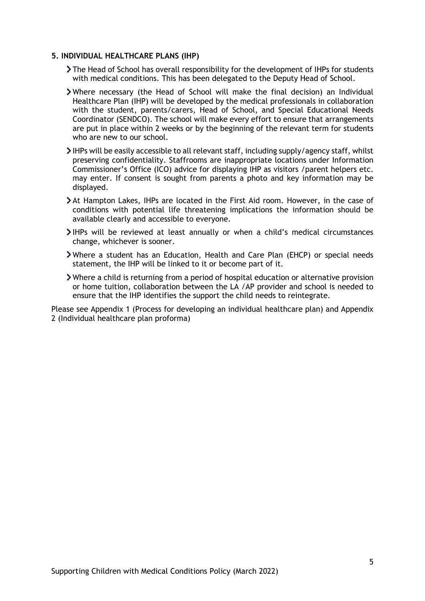#### **5. INDIVIDUAL HEALTHCARE PLANS (IHP)**

- The Head of School has overall responsibility for the development of IHPs for students with medical conditions. This has been delegated to the Deputy Head of School.
- Where necessary (the Head of School will make the final decision) an Individual Healthcare Plan (IHP) will be developed by the medical professionals in collaboration with the student, parents/carers, Head of School, and Special Educational Needs Coordinator (SENDCO). The school will make every effort to ensure that arrangements are put in place within 2 weeks or by the beginning of the relevant term for students who are new to our school.
- IHPs will be easily accessible to all relevant staff, including supply/agency staff, whilst preserving confidentiality. Staffrooms are inappropriate locations under Information Commissioner's Office (ICO) advice for displaying IHP as visitors /parent helpers etc. may enter. If consent is sought from parents a photo and key information may be displayed.
- At Hampton Lakes, IHPs are located in the First Aid room. However, in the case of conditions with potential life threatening implications the information should be available clearly and accessible to everyone.
- IHPs will be reviewed at least annually or when a child's medical circumstances change, whichever is sooner.
- Where a student has an Education, Health and Care Plan (EHCP) or special needs statement, the IHP will be linked to it or become part of it.
- Where a child is returning from a period of hospital education or alternative provision or home tuition, collaboration between the LA /AP provider and school is needed to ensure that the IHP identifies the support the child needs to reintegrate.

Please see Appendix 1 (Process for developing an individual healthcare plan) and Appendix 2 (Individual healthcare plan proforma)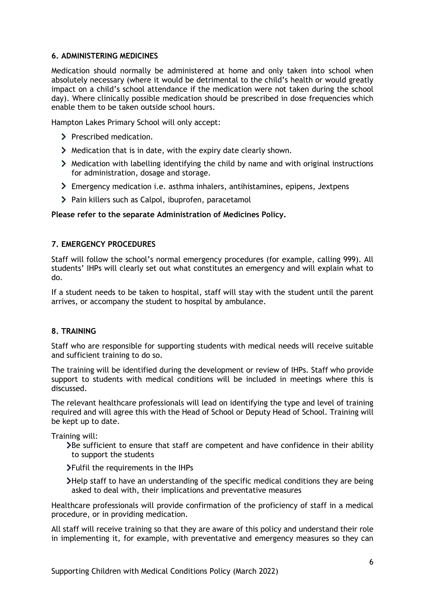#### **6. ADMINISTERING MEDICINES**

Medication should normally be administered at home and only taken into school when absolutely necessary (where it would be detrimental to the child's health or would greatly impact on a child's school attendance if the medication were not taken during the school day). Where clinically possible medication should be prescribed in dose frequencies which enable them to be taken outside school hours.

Hampton Lakes Primary School will only accept:

- > Prescribed medication.
- Medication that is in date, with the expiry date clearly shown.
- $\blacktriangleright$  Medication with labelling identifying the child by name and with original instructions for administration, dosage and storage.
- Emergency medication i.e. asthma inhalers, antihistamines, epipens, Jextpens
- > Pain killers such as Calpol, ibuprofen, paracetamol

#### **Please refer to the separate Administration of Medicines Policy.**

#### **7. EMERGENCY PROCEDURES**

Staff will follow the school's normal emergency procedures (for example, calling 999). All students' IHPs will clearly set out what constitutes an emergency and will explain what to do.

If a student needs to be taken to hospital, staff will stay with the student until the parent arrives, or accompany the student to hospital by ambulance.

#### **8. TRAINING**

Staff who are responsible for supporting students with medical needs will receive suitable and sufficient training to do so.

The training will be identified during the development or review of IHPs. Staff who provide support to students with medical conditions will be included in meetings where this is discussed.

The relevant healthcare professionals will lead on identifying the type and level of training required and will agree this with the Head of School or Deputy Head of School. Training will be kept up to date.

Training will:

 $\lambda$ Be sufficient to ensure that staff are competent and have confidence in their ability to support the students

Fulfil the requirements in the IHPs

Help staff to have an understanding of the specific medical conditions they are being asked to deal with, their implications and preventative measures

Healthcare professionals will provide confirmation of the proficiency of staff in a medical procedure, or in providing medication.

All staff will receive training so that they are aware of this policy and understand their role in implementing it, for example, with preventative and emergency measures so they can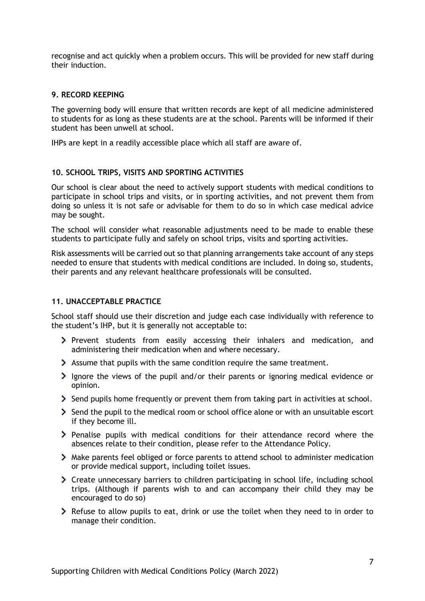recognise and act quickly when a problem occurs. This will be provided for new staff during their induction.

#### **9. RECORD KEEPING**

The governing body will ensure that written records are kept of all medicine administered to students for as long as these students are at the school. Parents will be informed if their student has been unwell at school.

IHPs are kept in a readily accessible place which all staff are aware of.

#### **10. SCHOOL TRIPS, VISITS AND SPORTING ACTIVITIES**

Our school is clear about the need to actively support students with medical conditions to participate in school trips and visits, or in sporting activities, and not prevent them from doing so unless it is not safe or advisable for them to do so in which case medical advice may be sought.

The school will consider what reasonable adjustments need to be made to enable these students to participate fully and safely on school trips, visits and sporting activities.

Risk assessments will be carried out so that planning arrangements take account of any steps needed to ensure that students with medical conditions are included. In doing so, students, their parents and any relevant healthcare professionals will be consulted.

#### **11. UNACCEPTABLE PRACTICE**

School staff should use their discretion and judge each case individually with reference to the student's IHP, but it is generally not acceptable to:

- $\geq$  Prevent students from easily accessing their inhalers and medication, and administering their medication when and where necessary.
- Assume that pupils with the same condition require the same treatment.
- $\ge$  lgnore the views of the pupil and/or their parents or ignoring medical evidence or opinion.
- $\geq$  Send pupils home frequently or prevent them from taking part in activities at school.
- $\geq$  Send the pupil to the medical room or school office alone or with an unsuitable escort if they become ill.
- $\triangleright$  Penalise pupils with medical conditions for their attendance record where the absences relate to their condition, please refer to the Attendance Policy.
- Make parents feel obliged or force parents to attend school to administer medication or provide medical support, including toilet issues.
- Create unnecessary barriers to children participating in school life, including school trips. (Although if parents wish to and can accompany their child they may be encouraged to do so)
- Refuse to allow pupils to eat, drink or use the toilet when they need to in order to manage their condition.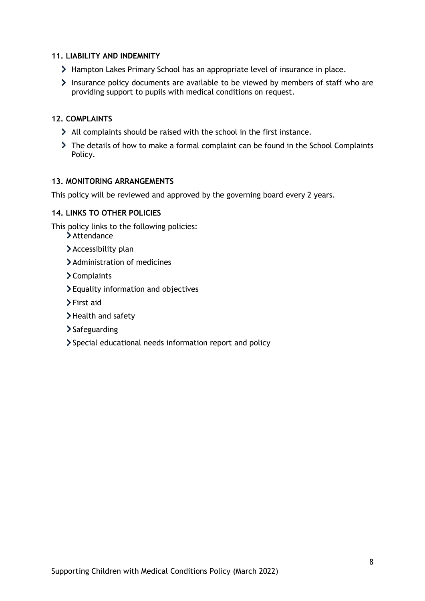#### **11. LIABILITY AND INDEMNITY**

- > Hampton Lakes Primary School has an appropriate level of insurance in place.
- Insurance policy documents are available to be viewed by members of staff who are providing support to pupils with medical conditions on request.

#### **12. COMPLAINTS**

- All complaints should be raised with the school in the first instance.
- The details of how to make a formal complaint can be found in the School Complaints Policy.

#### **13. MONITORING ARRANGEMENTS**

This policy will be reviewed and approved by the governing board every 2 years.

#### **14. LINKS TO OTHER POLICIES**

This policy links to the following policies:

- > Attendance
- > Accessibility plan
- Administration of medicines
- Complaints
- Equality information and objectives
- First aid
- > Health and safety
- > Safeguarding
- Special educational needs information report and policy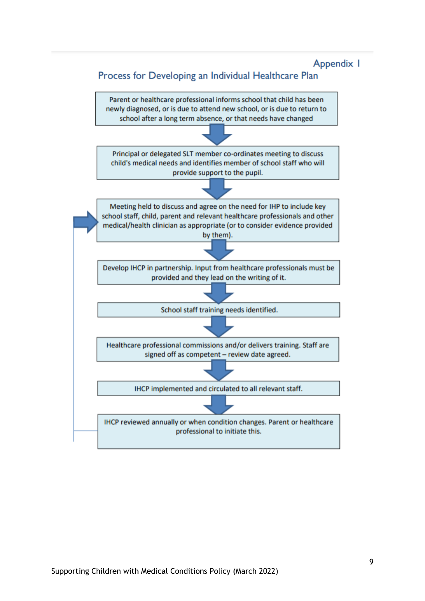## Appendix I

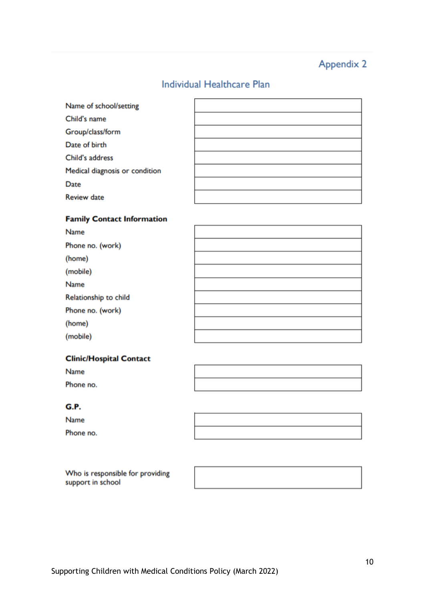# **Appendix 2**

# Individual Healthcare Plan

| Name of school/setting         |  |
|--------------------------------|--|
| Child's name                   |  |
| Group/class/form               |  |
| Date of birth                  |  |
| Child's address                |  |
| Medical diagnosis or condition |  |
| Date                           |  |
| <b>Review date</b>             |  |

#### **Family Contact Information**

| Name                  |  |
|-----------------------|--|
| Phone no. (work)      |  |
| (home)                |  |
| (mobile)              |  |
| Name                  |  |
| Relationship to child |  |
| Phone no. (work)      |  |
| (home)                |  |
| (mobile)              |  |
|                       |  |

## **Clinic/Hospital Contact**

Name

Phone no.

### G.P.

Name Phone no.

Who is responsible for providing support in school